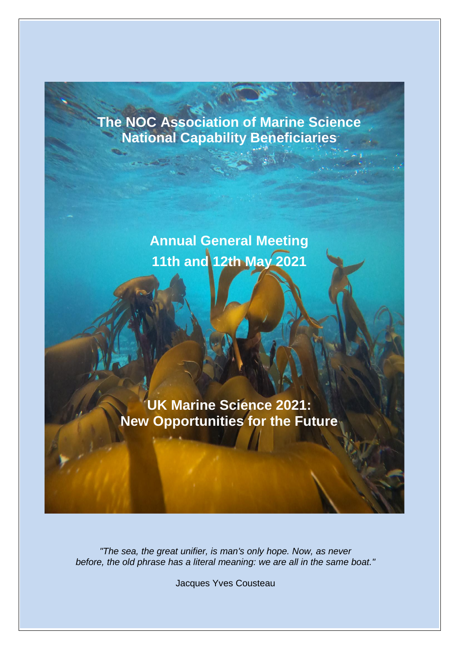# **The NOC Association of Marine Science National Capability Beneficiaries**

**Annual General Meeting 11th and 12th May 2021** 

**UK Marine Science 2021: New Opportunities for the Future**

*"The sea, the great unifier, is man's only hope. Now, as never before, the old phrase has a literal meaning: we are all in the same boat."*

Jacques Yves Cousteau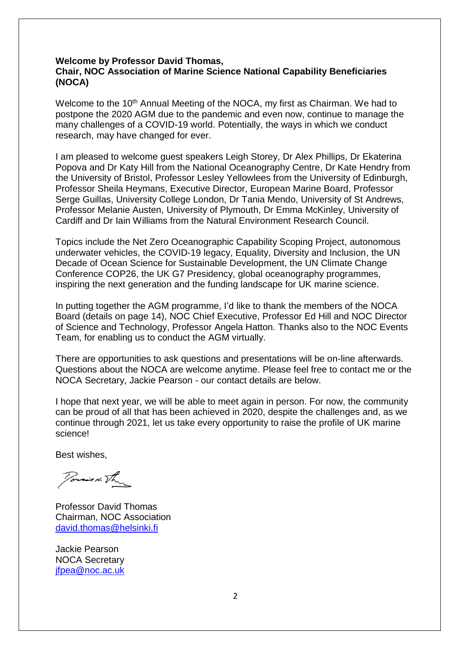#### **Welcome by Professor David Thomas, Chair, NOC Association of Marine Science National Capability Beneficiaries (NOCA)**

Welcome to the 10<sup>th</sup> Annual Meeting of the NOCA, my first as Chairman. We had to postpone the 2020 AGM due to the pandemic and even now, continue to manage the many challenges of a COVID-19 world. Potentially, the ways in which we conduct research, may have changed for ever.

I am pleased to welcome guest speakers Leigh Storey, Dr Alex Phillips, Dr Ekaterina Popova and Dr Katy Hill from the National Oceanography Centre, Dr Kate Hendry from the University of Bristol, Professor Lesley Yellowlees from the University of Edinburgh, Professor Sheila Heymans, Executive Director, European Marine Board, Professor Serge Guillas, University College London, Dr Tania Mendo, University of St Andrews, Professor Melanie Austen, University of Plymouth, Dr Emma McKinley, University of Cardiff and Dr Iain Williams from the Natural Environment Research Council.

Topics include the Net Zero Oceanographic Capability Scoping Project, autonomous underwater vehicles, the COVID-19 legacy, Equality, Diversity and Inclusion, the UN Decade of Ocean Science for Sustainable Development, the UN Climate Change Conference COP26, the UK G7 Presidency, global oceanography programmes, inspiring the next generation and the funding landscape for UK marine science.

In putting together the AGM programme, I'd like to thank the members of the NOCA Board (details on page 14), NOC Chief Executive, Professor Ed Hill and NOC Director of Science and Technology, Professor Angela Hatton. Thanks also to the NOC Events Team, for enabling us to conduct the AGM virtually.

There are opportunities to ask questions and presentations will be on-line afterwards. Questions about the NOCA are welcome anytime. Please feel free to contact me or the NOCA Secretary, Jackie Pearson - our contact details are below.

I hope that next year, we will be able to meet again in person. For now, the community can be proud of all that has been achieved in 2020, despite the challenges and, as we continue through 2021, let us take every opportunity to raise the profile of UK marine science!

Best wishes,

Porsin The

Professor David Thomas Chairman, NOC Association david.thomas@helsinki.fi

Jackie Pearson NOCA Secretary [jfpea@noc.ac.uk](mailto:jfpea@noc.ac.uk)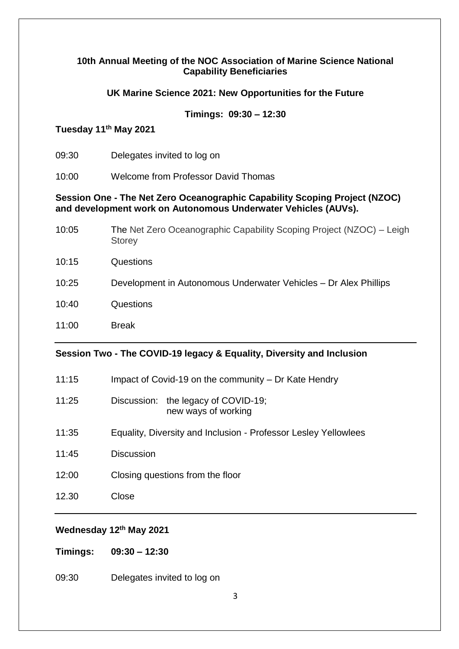#### **10th Annual Meeting of the NOC Association of Marine Science National Capability Beneficiaries**

### **UK Marine Science 2021: New Opportunities for the Future**

### **Timings: 09:30 – 12:30**

### **Tuesday 11th May 2021**

- 09:30 Delegates invited to log on
- 10:00 Welcome from Professor David Thomas

#### **Session One - The Net Zero Oceanographic Capability Scoping Project (NZOC) and development work on Autonomous Underwater Vehicles (AUVs).**

| 10:05 | The Net Zero Oceanographic Capability Scoping Project (NZOC) – Leigh<br><b>Storey</b> |
|-------|---------------------------------------------------------------------------------------|
| 10:15 | Questions                                                                             |
| 10:25 | Development in Autonomous Underwater Vehicles - Dr Alex Phillips                      |
| 10:40 | Questions                                                                             |
| 11:00 | <b>Break</b>                                                                          |

#### **Session Two - The COVID-19 legacy & Equality, Diversity and Inclusion**

- 11:15 Impact of Covid-19 on the community Dr Kate Hendry
- 11:25 Discussion: the legacy of COVID-19; new ways of working
- 11:35 Equality, Diversity and Inclusion Professor Lesley Yellowlees
- 11:45 Discussion
- 12:00 Closing questions from the floor
- 12.30 Close

### **Wednesday 12th May 2021**

**Timings: 09:30 – 12:30**

09:30 Delegates invited to log on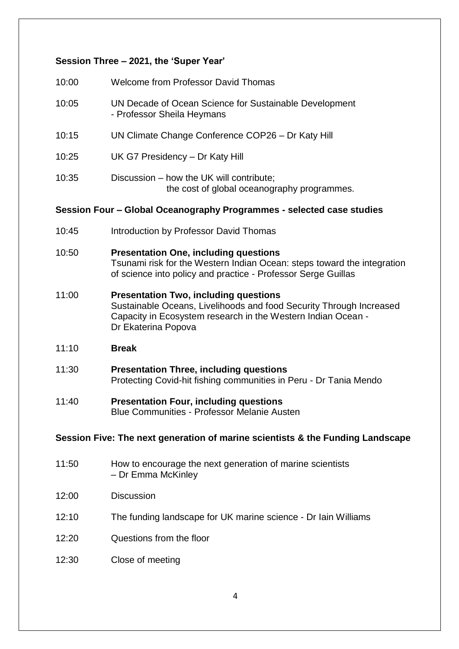### **Session Three – 2021, the 'Super Year'**

| 10:00 | <b>Welcome from Professor David Thomas</b>                                              |
|-------|-----------------------------------------------------------------------------------------|
| 10:05 | UN Decade of Ocean Science for Sustainable Development<br>- Professor Sheila Heymans    |
| 10:15 | UN Climate Change Conference COP26 - Dr Katy Hill                                       |
| 10:25 | UK G7 Presidency - Dr Katy Hill                                                         |
| 10:35 | Discussion – how the UK will contribute;<br>the cost of global oceanography programmes. |

#### **Session Four – Global Oceanography Programmes - selected case studies**

- 10:45 Introduction by Professor David Thomas
- 10:50 **Presentation One, including questions** Tsunami risk for the Western Indian Ocean: steps toward the integration of science into policy and practice - Professor Serge Guillas
- 11:00 **Presentation Two, including questions** Sustainable Oceans, Livelihoods and food Security Through Increased Capacity in Ecosystem research in the Western Indian Ocean - Dr Ekaterina Popova
- 11:10 **Break**
- 11:30 **Presentation Three, including questions** Protecting Covid-hit fishing communities in Peru - Dr Tania Mendo
- 11:40 **Presentation Four, including questions** Blue Communities - Professor Melanie Austen

#### **Session Five: The next generation of marine scientists & the Funding Landscape**

- 11:50 How to encourage the next generation of marine scientists – Dr Emma McKinley
- 12:00 Discussion
- 12:10 The funding landscape for UK marine science Dr Iain Williams
- 12:20 Questions from the floor
- 12:30 Close of meeting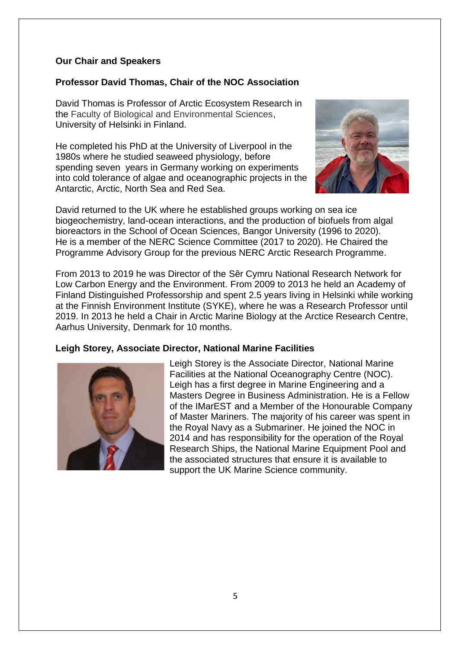### **Our Chair and Speakers**

### **Professor David Thomas, Chair of the NOC Association**

David Thomas is Professor of Arctic Ecosystem Research in the Faculty of Biological and Environmental Sciences, University of Helsinki in Finland.

He completed his PhD at the University of Liverpool in the 1980s where he studied seaweed physiology, before spending seven years in Germany working on experiments into cold tolerance of algae and oceanographic projects in the Antarctic, Arctic, North Sea and Red Sea.



David returned to the UK where he established groups working on sea ice biogeochemistry, land-ocean interactions, and the production of biofuels from algal bioreactors in the School of Ocean Sciences, Bangor University (1996 to 2020). He is a member of the NERC Science Committee (2017 to 2020). He Chaired the Programme Advisory Group for the previous NERC Arctic Research Programme.

From 2013 to 2019 he was Director of the Sêr Cymru National Research Network for Low Carbon Energy and the Environment. From 2009 to 2013 he held an Academy of Finland Distinguished Professorship and spent 2.5 years living in Helsinki while working at the Finnish Environment Institute (SYKE), where he was a Research Professor until 2019. In 2013 he held a Chair in Arctic Marine Biology at the Arctice Research Centre, Aarhus University, Denmark for 10 months.

#### **Leigh Storey, Associate Director, National Marine Facilities**



Leigh Storey is the Associate Director, National Marine Facilities at the National Oceanography Centre (NOC). Leigh has a first degree in Marine Engineering and a Masters Degree in Business Administration. He is a Fellow of the IMarEST and a Member of the Honourable Company of Master Mariners. The majority of his career was spent in the Royal Navy as a Submariner. He joined the NOC in 2014 and has responsibility for the operation of the Royal Research Ships, the National Marine Equipment Pool and the associated structures that ensure it is available to support the UK Marine Science community.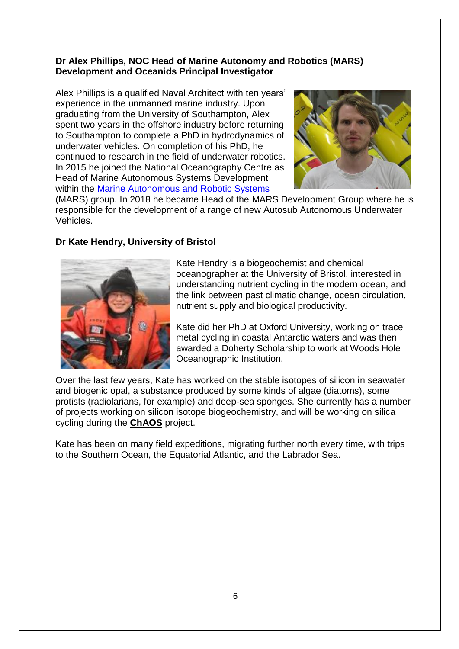### **Dr Alex Phillips, NOC Head of Marine Autonomy and Robotics (MARS) Development and Oceanids Principal Investigator**

Alex Phillips is a qualified Naval Architect with ten years' experience in the unmanned marine industry. Upon graduating from the University of Southampton, Alex spent two years in the offshore industry before returning to Southampton to complete a PhD in hydrodynamics of underwater vehicles. On completion of his PhD, he continued to research in the field of underwater robotics. In 2015 he joined the National Oceanography Centre as Head of Marine Autonomous Systems Development within the **Marine Autonomous and Robotic Systems** 



(MARS) group. In 2018 he became Head of the MARS Development Group where he is responsible for the development of a range of new Autosub Autonomous Underwater Vehicles.

### **Dr Kate Hendry, University of Bristol**



Kate Hendry is a biogeochemist and chemical oceanographer at the University of Bristol, interested in understanding nutrient cycling in the modern ocean, and the link between past climatic change, ocean circulation, nutrient supply and biological productivity.

Kate did her PhD at Oxford University, working on trace metal cycling in coastal Antarctic waters and was then awarded a Doherty Scholarship to work at Woods Hole Oceanographic Institution.

Over the last few years, Kate has worked on the stable isotopes of silicon in seawater and biogenic opal, a substance produced by some kinds of algae (diatoms), some protists (radiolarians, for example) and deep-sea sponges. She currently has a number of projects working on silicon isotope biogeochemistry, and will be working on silica cycling during the **[ChAOS](http://www.changing-arctic-ocean.ac.uk/project/chaos/)** project.

Kate has been on many field expeditions, migrating further north every time, with trips to the Southern Ocean, the Equatorial Atlantic, and the Labrador Sea.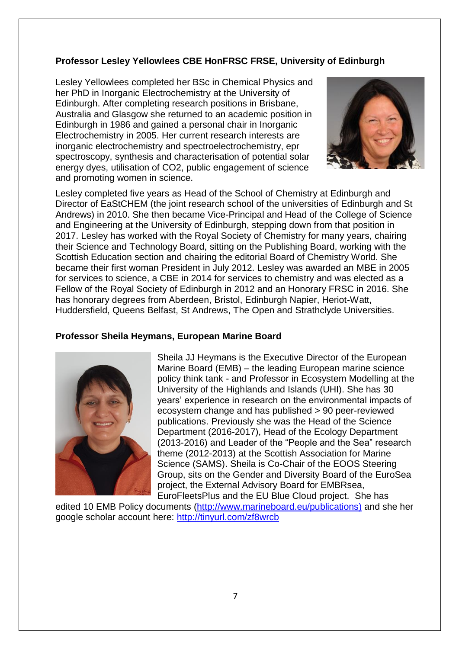## **Professor Lesley Yellowlees CBE HonFRSC FRSE, University of Edinburgh**

Lesley Yellowlees completed her BSc in Chemical Physics and her PhD in Inorganic Electrochemistry at the University of Edinburgh. After completing research positions in Brisbane, Australia and Glasgow she returned to an academic position in Edinburgh in 1986 and gained a personal chair in Inorganic Electrochemistry in 2005. Her current research interests are inorganic electrochemistry and spectroelectrochemistry, epr spectroscopy, synthesis and characterisation of potential solar energy dyes, utilisation of CO2, public engagement of science and promoting women in science.



Lesley completed five years as Head of the School of Chemistry at Edinburgh and Director of EaStCHEM (the joint research school of the universities of Edinburgh and St Andrews) in 2010. She then became Vice-Principal and Head of the College of Science and Engineering at the University of Edinburgh, stepping down from that position in 2017. Lesley has worked with the Royal Society of Chemistry for many years, chairing their Science and Technology Board, sitting on the Publishing Board, working with the Scottish Education section and chairing the editorial Board of Chemistry World. She became their first woman President in July 2012. Lesley was awarded an MBE in 2005 for services to science, a CBE in 2014 for services to chemistry and was elected as a Fellow of the Royal Society of Edinburgh in 2012 and an Honorary FRSC in 2016. She has honorary degrees from Aberdeen, Bristol, Edinburgh Napier, Heriot-Watt, Huddersfield, Queens Belfast, St Andrews, The Open and Strathclyde Universities.

### **Professor Sheila Heymans, European Marine Board**



Sheila JJ Heymans is the Executive Director of the European Marine Board (EMB) – the leading European marine science policy think tank - and Professor in Ecosystem Modelling at the University of the Highlands and Islands (UHI). She has 30 years' experience in research on the environmental impacts of ecosystem change and has published > 90 peer-reviewed publications. Previously she was the Head of the Science Department (2016-2017), Head of the Ecology Department (2013-2016) and Leader of the "People and the Sea" research theme (2012-2013) at the Scottish Association for Marine Science (SAMS). Sheila is Co-Chair of the EOOS Steering Group, sits on the Gender and Diversity Board of the EuroSea project, the External Advisory Board for EMBRsea, EuroFleetsPlus and the EU Blue Cloud project. She has

edited 10 EMB Policy documents [\(http://www.marineboard.eu/publications\)](http://www.marineboard.eu/publications) and she her google scholar account here:<http://tinyurl.com/zf8wrcb>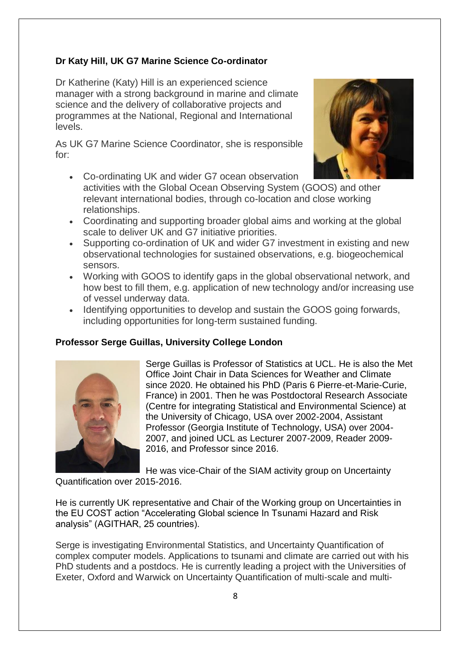### **Dr Katy Hill, UK G7 Marine Science Co-ordinator**

Dr Katherine (Katy) Hill is an experienced science manager with a strong background in marine and climate science and the delivery of collaborative projects and programmes at the National, Regional and International levels.

As UK G7 Marine Science Coordinator, she is responsible for:



- Co-ordinating UK and wider G7 ocean observation activities with the Global Ocean Observing System (GOOS) and other relevant international bodies, through co-location and close working relationships.
- Coordinating and supporting broader global aims and working at the global scale to deliver UK and G7 initiative priorities.
- Supporting co-ordination of UK and wider G7 investment in existing and new observational technologies for sustained observations, e.g. biogeochemical sensors.
- Working with GOOS to identify gaps in the global observational network, and how best to fill them, e.g. application of new technology and/or increasing use of vessel underway data.
- Identifying opportunities to develop and sustain the GOOS going forwards, including opportunities for long-term sustained funding.

### **Professor Serge Guillas, University College London**



Serge Guillas is Professor of Statistics at UCL. He is also the Met Office Joint Chair in Data Sciences for Weather and Climate since 2020. He obtained his PhD (Paris 6 Pierre-et-Marie-Curie, France) in 2001. Then he was Postdoctoral Research Associate (Centre for integrating Statistical and Environmental Science) at the University of Chicago, USA over 2002-2004, Assistant Professor (Georgia Institute of Technology, USA) over 2004- 2007, and joined UCL as Lecturer 2007-2009, Reader 2009- 2016, and Professor since 2016.

He was vice-Chair of the SIAM activity group on Uncertainty Quantification over 2015-2016.

He is currently UK representative and Chair of the Working group on Uncertainties in the EU COST action "Accelerating Global science In Tsunami Hazard and Risk analysis" (AGITHAR, 25 countries).

Serge is investigating Environmental Statistics, and Uncertainty Quantification of complex computer models. Applications to tsunami and climate are carried out with his PhD students and a postdocs. He is currently leading a project with the Universities of Exeter, Oxford and Warwick on Uncertainty Quantification of multi-scale and multi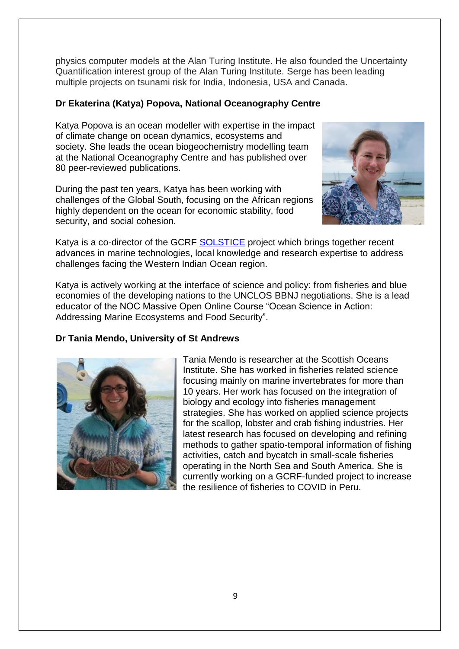physics computer models at the Alan Turing Institute. He also founded the Uncertainty Quantification interest group of the Alan Turing Institute. Serge has been leading multiple projects on tsunami risk for India, Indonesia, USA and Canada.

### **Dr Ekaterina (Katya) Popova, National Oceanography Centre**

Katya Popova is an ocean modeller with expertise in the impact of climate change on ocean dynamics, ecosystems and society. She leads the ocean biogeochemistry modelling team at the National Oceanography Centre and has published over 80 peer-reviewed publications.

During the past ten years, Katya has been working with challenges of the Global South, focusing on the African regions highly dependent on the ocean for economic stability, food security, and social cohesion.



Katya is a co-director of the GCRF [SOLSTICE](https://noc.ac.uk/projects/solstice) project which brings together recent advances in marine technologies, local knowledge and research expertise to address challenges facing the Western Indian Ocean region.

Katya is actively working at the interface of science and policy: from fisheries and blue economies of the developing nations to the UNCLOS BBNJ negotiations. She is a lead educator of the NOC Massive Open Online Course "Ocean Science in Action: Addressing Marine Ecosystems and Food Security".

#### **Dr Tania Mendo, University of St Andrews**



Tania Mendo is researcher at the Scottish Oceans Institute. She has worked in fisheries related science focusing mainly on marine invertebrates for more than 10 years. Her work has focused on the integration of biology and ecology into fisheries management strategies. She has worked on applied science projects for the scallop, lobster and crab fishing industries. Her latest research has focused on developing and refining methods to gather spatio-temporal information of fishing activities, catch and bycatch in small-scale fisheries operating in the North Sea and South America. She is currently working on a GCRF-funded project to increase the resilience of fisheries to COVID in Peru.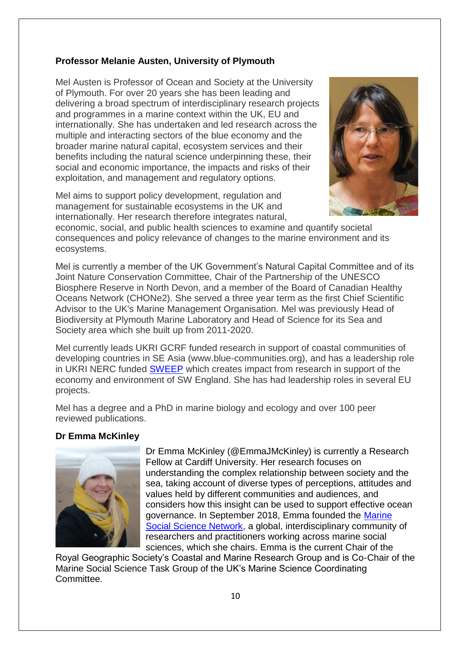### **Professor Melanie Austen, University of Plymouth**

Mel Austen is Professor of Ocean and Society at the University of Plymouth. For over 20 years she has been leading and delivering a broad spectrum of interdisciplinary research projects and programmes in a marine context within the UK, EU and internationally. She has undertaken and led research across the multiple and interacting sectors of the blue economy and the broader marine natural capital, ecosystem services and their benefits including the natural science underpinning these, their social and economic importance, the impacts and risks of their exploitation, and management and regulatory options.

Mel aims to support policy development, regulation and management for sustainable ecosystems in the UK and internationally. Her research therefore integrates natural,



economic, social, and public health sciences to examine and quantify societal consequences and policy relevance of changes to the marine environment and its ecosystems.

Mel is currently a member of the UK Government's Natural Capital Committee and of its Joint Nature Conservation Committee, Chair of the Partnership of the UNESCO Biosphere Reserve in North Devon, and a member of the Board of Canadian Healthy Oceans Network (CHONe2). She served a three year term as the first Chief Scientific Advisor to the UK's Marine Management Organisation. Mel was previously Head of Biodiversity at Plymouth Marine Laboratory and Head of Science for its Sea and Society area which she built up from 2011-2020.

Mel currently leads UKRI GCRF funded research in support of coastal communities of developing countries in SE Asia (www.blue-communities.org), and has a leadership role in UKRI NERC funded [SWEEP](https://sweep.ac.uk/) which creates impact from research in support of the economy and environment of SW England. She has had leadership roles in several EU projects.

Mel has a degree and a PhD in marine biology and ecology and over 100 peer reviewed publications.

#### **Dr Emma McKinley**



Dr Emma McKinley (@EmmaJMcKinley) is currently a Research Fellow at Cardiff University. Her research focuses on understanding the complex relationship between society and the sea, taking account of diverse types of perceptions, attitudes and values held by different communities and audiences, and considers how this insight can be used to support effective ocean governance. In September 2018, Emma founded the [Marine](http://www.marsocsci.net/)  [Social Science Network,](http://www.marsocsci.net/) a global, interdisciplinary community of researchers and practitioners working across marine social sciences, which she chairs. Emma is the current Chair of the

Royal Geographic Society's Coastal and Marine Research Group and is Co-Chair of the Marine Social Science Task Group of the UK's Marine Science Coordinating Committee.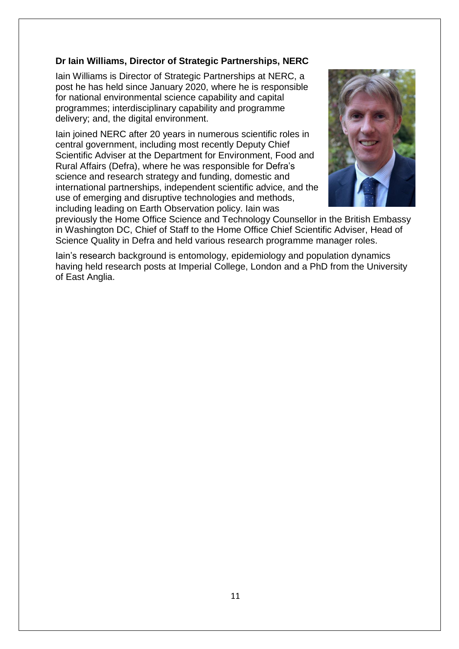### **Dr Iain Williams, Director of Strategic Partnerships, NERC**

Iain Williams is Director of Strategic Partnerships at NERC, a post he has held since January 2020, where he is responsible for national environmental science capability and capital programmes; interdisciplinary capability and programme delivery; and, the digital environment.

Iain joined NERC after 20 years in numerous scientific roles in central government, including most recently Deputy Chief Scientific Adviser at the Department for Environment, Food and Rural Affairs (Defra), where he was responsible for Defra's science and research strategy and funding, domestic and international partnerships, independent scientific advice, and the use of emerging and disruptive technologies and methods, including leading on Earth Observation policy. Iain was



previously the Home Office Science and Technology Counsellor in the British Embassy in Washington DC, Chief of Staff to the Home Office Chief Scientific Adviser, Head of Science Quality in Defra and held various research programme manager roles.

Iain's research background is entomology, epidemiology and population dynamics having held research posts at Imperial College, London and a PhD from the University of East Anglia.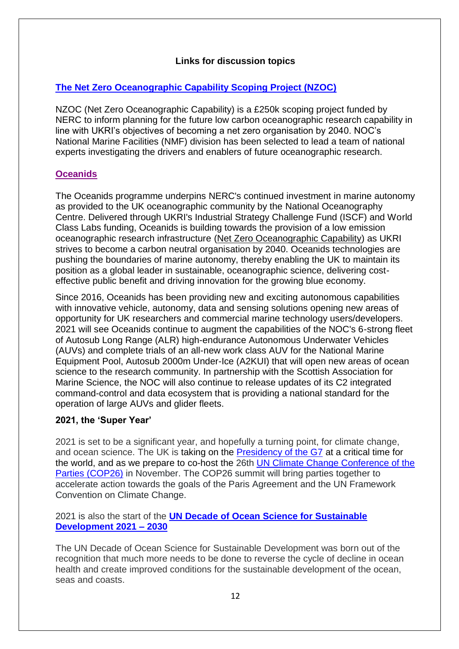### **Links for discussion topics**

## **[The Net Zero Oceanographic Capability Scoping Project \(NZOC\)](https://projects.noc.ac.uk/nzoc/)**

NZOC (Net Zero Oceanographic Capability) is a £250k scoping project funded by NERC to inform planning for the future low carbon oceanographic research capability in line with UKRI's objectives of becoming a net zero organisation by 2040. NOC's National Marine Facilities (NMF) division has been selected to lead a team of national experts investigating the drivers and enablers of future oceanographic research.

### **[Oceanids](https://noc.ac.uk/projects/oceanids)**

The Oceanids programme underpins NERC's continued investment in marine autonomy as provided to the UK oceanographic community by the National Oceanography Centre. Delivered through UKRI's Industrial Strategy Challenge Fund (ISCF) and World Class Labs funding, Oceanids is building towards the provision of a low emission oceanographic research infrastructure [\(Net Zero Oceanographic Capability\)](https://projects.noc.ac.uk/nzoc) as UKRI strives to become a carbon neutral organisation by 2040. Oceanids technologies are pushing the boundaries of marine autonomy, thereby enabling the UK to maintain its position as a global leader in sustainable, oceanographic science, delivering costeffective public benefit and driving innovation for the growing blue economy.

Since 2016, Oceanids has been providing new and exciting autonomous capabilities with innovative vehicle, autonomy, data and sensing solutions opening new areas of opportunity for UK researchers and commercial marine technology users/developers. 2021 will see Oceanids continue to augment the capabilities of the NOC's 6-strong fleet of Autosub Long Range (ALR) high-endurance Autonomous Underwater Vehicles (AUVs) and complete trials of an all-new work class AUV for the National Marine Equipment Pool, Autosub 2000m Under-Ice (A2KUI) that will open new areas of ocean science to the research community. In partnership with the Scottish Association for Marine Science, the NOC will also continue to release updates of its C2 integrated command-control and data ecosystem that is providing a national standard for the operation of large AUVs and glider fleets.

### **2021, the 'Super Year'**

2021 is set to be a significant year, and hopefully a turning point, for climate change, and ocean science. The UK is taking on the [Presidency of the G7](https://www.g7uk.org/) at a critical time for the world, and as we prepare to co-host the 26th [UN Climate Change Conference of the](https://ukcop26.org/)  [Parties \(COP26\)](https://ukcop26.org/) in November. The COP26 summit will bring parties together to accelerate action towards the goals of the Paris Agreement and the UN Framework Convention on Climate Change.

### 2021 is also the start of the **[UN Decade of Ocean Science for Sustainable](https://www.oceandecade.org/)  [Development 2021 –](https://www.oceandecade.org/) 2030**

The UN Decade of Ocean Science for Sustainable Development was born out of the recognition that much more needs to be done to reverse the cycle of decline in ocean health and create improved conditions for the sustainable development of the ocean, seas and coasts.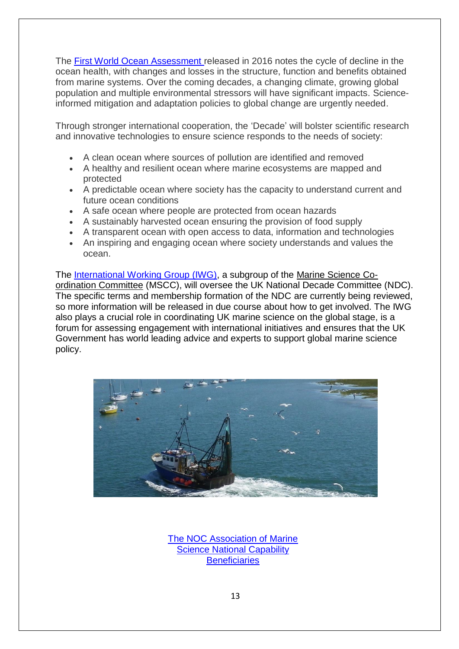The [First World Ocean Assessment](http://sdg.iisd.org/news/un-releases-first-world-ocean-assessment/#:~:text=26%20January%202016%3A%20The%20UN%20has%20published%20the,oceans%2C%20seas%20and%20marine%20resources%20for%20sustainable%20development%29.) released in 2016 notes the cycle of decline in the ocean health, with changes and losses in the structure, function and benefits obtained from marine systems. Over the coming decades, a changing climate, growing global population and multiple environmental stressors will have significant impacts. Scienceinformed mitigation and adaptation policies to global change are urgently needed.

Through stronger international cooperation, the 'Decade' will bolster scientific research and innovative technologies to ensure science responds to the needs of society:

- A clean ocean where sources of pollution are identified and removed
- A healthy and resilient ocean where marine ecosystems are mapped and protected
- A predictable ocean where society has the capacity to understand current and future ocean conditions
- A safe ocean where people are protected from ocean hazards
- A sustainably harvested ocean ensuring the provision of food supply
- A transparent ocean with open access to data, information and technologies
- An inspiring and engaging ocean where society understands and values the ocean.

The [International Working Group \(IWG\),](https://projects.noc.ac.uk/iwg/) a subgroup of the [Marine Science Co](https://www.gov.uk/government/groups/marine-science-co-ordination-committee)[ordination Committee](https://www.gov.uk/government/groups/marine-science-co-ordination-committee) (MSCC), will oversee the UK National Decade Committee (NDC). The specific terms and membership formation of the NDC are currently being reviewed, so more information will be released in due course about how to get involved. The IWG also plays a crucial role in coordinating UK marine science on the global stage, is a forum for assessing engagement with international initiatives and ensures that the UK Government has world leading advice and experts to support global marine science policy.



[The NOC Association of Marine](https://noc.ac.uk/partnerships/our-national-role/coordinating-uk-marine-science/noc-association)  [Science National Capability](https://noc.ac.uk/partnerships/our-national-role/coordinating-uk-marine-science/noc-association)  **[Beneficiaries](https://noc.ac.uk/partnerships/our-national-role/coordinating-uk-marine-science/noc-association)**